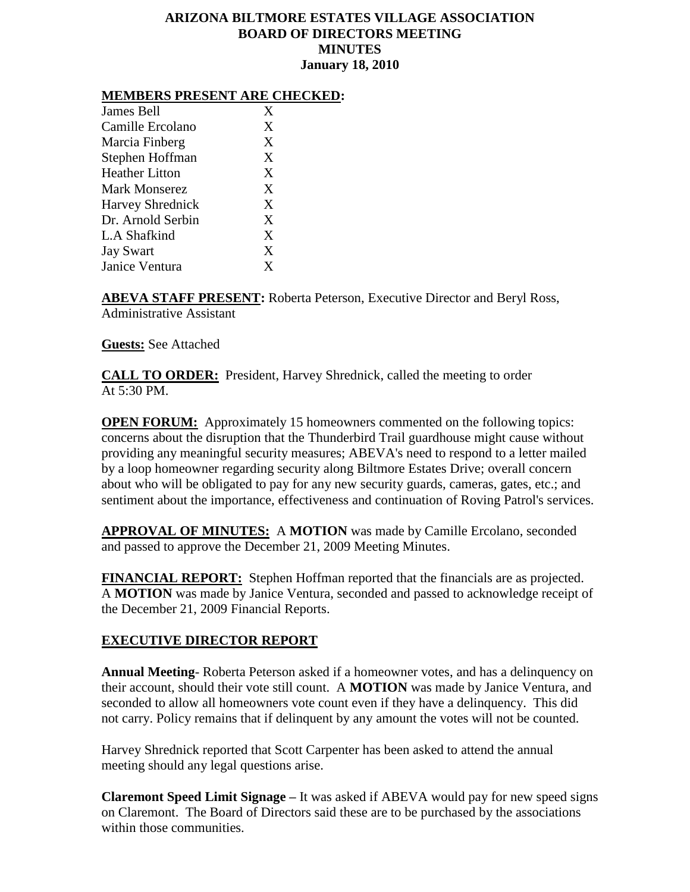#### **ARIZONA BILTMORE ESTATES VILLAGE ASSOCIATION BOARD OF DIRECTORS MEETING MINUTES January 18, 2010**

#### **MEMBERS PRESENT ARE CHECKED:**

| James Bell              | X |
|-------------------------|---|
| Camille Ercolano        | X |
| Marcia Finberg          | X |
| Stephen Hoffman         | X |
| <b>Heather Litton</b>   | X |
| Mark Monserez           | X |
| <b>Harvey Shrednick</b> | X |
| Dr. Arnold Serbin       | X |
| L.A Shafkind            | X |
| <b>Jay Swart</b>        | X |
| Janice Ventura          | X |
|                         |   |

**ABEVA STAFF PRESENT:** Roberta Peterson, Executive Director and Beryl Ross, Administrative Assistant

**Guests:** See Attached

**CALL TO ORDER:** President, Harvey Shrednick, called the meeting to order At 5:30 PM.

**OPEN FORUM:** Approximately 15 homeowners commented on the following topics: concerns about the disruption that the Thunderbird Trail guardhouse might cause without providing any meaningful security measures; ABEVA's need to respond to a letter mailed by a loop homeowner regarding security along Biltmore Estates Drive; overall concern about who will be obligated to pay for any new security guards, cameras, gates, etc.; and sentiment about the importance, effectiveness and continuation of Roving Patrol's services.

**APPROVAL OF MINUTES:** A **MOTION** was made by Camille Ercolano, seconded and passed to approve the December 21, 2009 Meeting Minutes.

**FINANCIAL REPORT:** Stephen Hoffman reported that the financials are as projected. A **MOTION** was made by Janice Ventura, seconded and passed to acknowledge receipt of the December 21, 2009 Financial Reports.

## **EXECUTIVE DIRECTOR REPORT**

**Annual Meeting**- Roberta Peterson asked if a homeowner votes, and has a delinquency on their account, should their vote still count. A **MOTION** was made by Janice Ventura, and seconded to allow all homeowners vote count even if they have a delinquency. This did not carry. Policy remains that if delinquent by any amount the votes will not be counted.

Harvey Shrednick reported that Scott Carpenter has been asked to attend the annual meeting should any legal questions arise.

**Claremont Speed Limit Signage –** It was asked if ABEVA would pay for new speed signs on Claremont. The Board of Directors said these are to be purchased by the associations within those communities.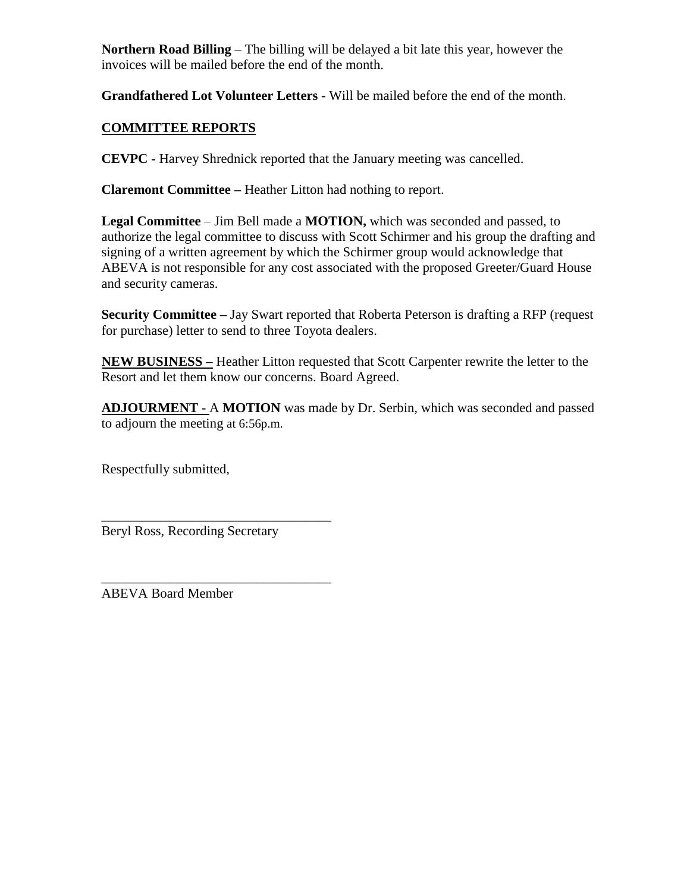**Northern Road Billing** – The billing will be delayed a bit late this year, however the invoices will be mailed before the end of the month.

**Grandfathered Lot Volunteer Letters** - Will be mailed before the end of the month.

# **COMMITTEE REPORTS**

**CEVPC -** Harvey Shrednick reported that the January meeting was cancelled.

**Claremont Committee –** Heather Litton had nothing to report.

**Legal Committee** – Jim Bell made a **MOTION,** which was seconded and passed, to authorize the legal committee to discuss with Scott Schirmer and his group the drafting and signing of a written agreement by which the Schirmer group would acknowledge that ABEVA is not responsible for any cost associated with the proposed Greeter/Guard House and security cameras.

**Security Committee –** Jay Swart reported that Roberta Peterson is drafting a RFP (request for purchase) letter to send to three Toyota dealers.

**NEW BUSINESS –** Heather Litton requested that Scott Carpenter rewrite the letter to the Resort and let them know our concerns. Board Agreed.

**ADJOURMENT -** A **MOTION** was made by Dr. Serbin, which was seconded and passed to adjourn the meeting at 6:56p.m.

Respectfully submitted,

Beryl Ross, Recording Secretary

\_\_\_\_\_\_\_\_\_\_\_\_\_\_\_\_\_\_\_\_\_\_\_\_\_\_\_\_\_\_\_\_\_\_

\_\_\_\_\_\_\_\_\_\_\_\_\_\_\_\_\_\_\_\_\_\_\_\_\_\_\_\_\_\_\_\_\_\_

ABEVA Board Member